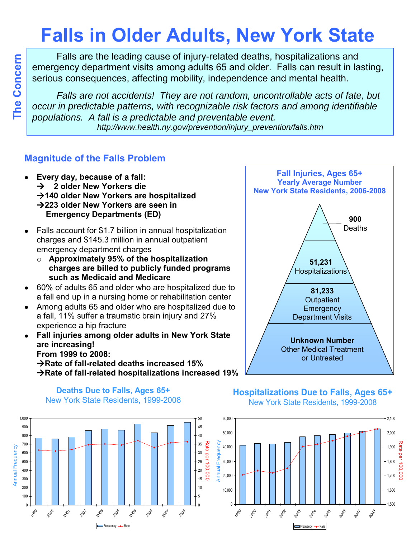# **Falls in Older Adults, New York State**

Falls are the leading cause of injury-related deaths, hospitalizations and emergency department visits among adults 65 and older. Falls can result in lasting, serious consequences, affecting mobility, independence and mental health.

*Falls are not accidents! They are not random, uncontrollable acts of fate, but occur in predictable patterns, with recognizable risk factors and among identifiable populations. A fall is a predictable and preventable event. http://www.health.ny.gov/prevention/injury\_prevention/falls.htm*

#### **Magnitude of the Falls Problem**

- **Every day, because of a fall:**  $\bullet$  **2 older New Yorkers die 140 older New Yorkers are hospitalized 223 older New Yorkers are seen in Emergency Departments (ED)**
- Falls account for \$1.7 billion in annual hospitalization  $\bullet$ charges and \$145.3 million in annual outpatient emergency department charges
	- o **Approximately 95% of the hospitalization charges are billed to publicly funded programs such as Medicaid and Medicare**
- 60% of adults 65 and older who are hospitalized due to  $\bullet$ a fall end up in a nursing home or rehabilitation center
- Among adults 65 and older who are hospitalized due to a fall, 11% suffer a traumatic brain injury and 27% experience a hip fracture
- **Fall injuries among older adults in New York State**   $\bullet$ **are increasing! From 1999 to 2008:**   $→$ **Rate of fall-related deaths increased 15%**

**Rate of fall-related hospitalizations increased 19%**



**Fall Injuries, Ages 65+**

#### **Deaths Due to Falls, Ages 65+** New York State Residents, 1999-2008



#### **Hospitalizations Due to Falls, Ages 65+** New York State Residents, 1999-2008